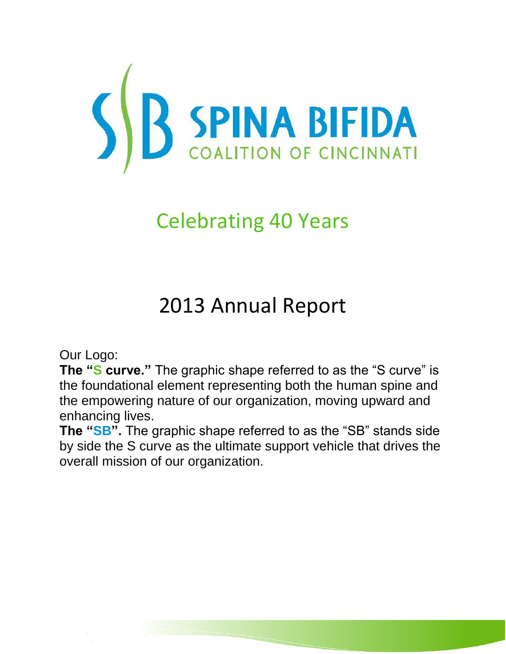

# Celebrating 40 Years

# 2013 Annual Report

Our Logo:

**The "S curve."** The graphic shape referred to as the "S curve" is the foundational element representing both the human spine and the empowering nature of our organization, moving upward and enhancing lives.

**The "SB".** The graphic shape referred to as the "SB" stands side by side the S curve as the ultimate support vehicle that drives the overall mission of our organization.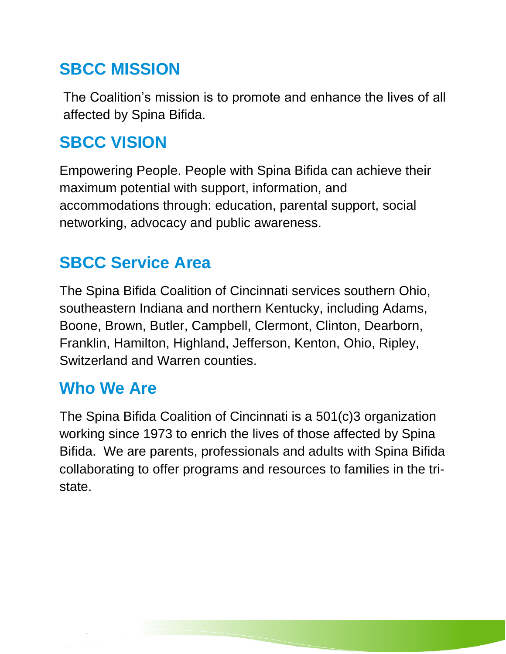## **SBCC MISSION**

The Coalition's mission is to promote and enhance the lives of all affected by Spina Bifida.

## **SBCC VISION**

Empowering People. People with Spina Bifida can achieve their maximum potential with support, information, and accommodations through: education, parental support, social networking, advocacy and public awareness.

## **SBCC Service Area**

The Spina Bifida Coalition of Cincinnati services southern Ohio, southeastern Indiana and northern Kentucky, including Adams, Boone, Brown, Butler, Campbell, Clermont, Clinton, Dearborn, Franklin, Hamilton, Highland, Jefferson, Kenton, Ohio, Ripley, Switzerland and Warren counties.

## **Who We Are**

The Spina Bifida Coalition of Cincinnati is a 501(c)3 organization working since 1973 to enrich the lives of those affected by Spina Bifida. We are parents, professionals and adults with Spina Bifida collaborating to offer programs and resources to families in the tristate.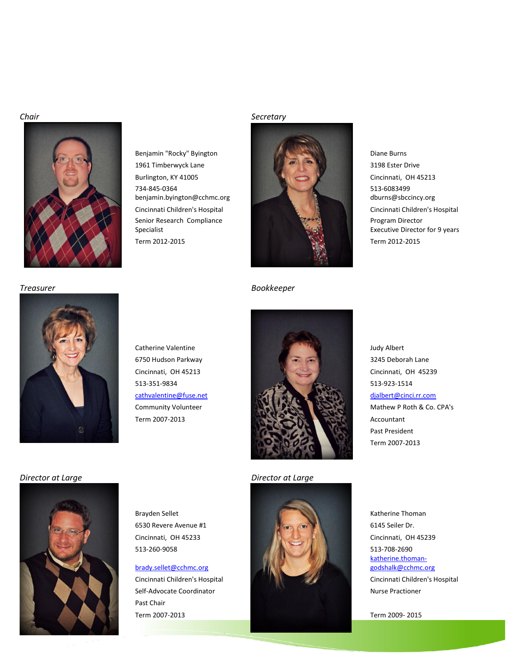

734-845-0364 benjamin.byington@cchmc.org Senior Research Compliance Specialist

### *Chair Secretary*



*Treasurer Bookkeeper*

513-6083499 dburns@sbccincy.org Program Director Executive Director for 9 years







[katherine.thoman](mailto:katherine.thoman-godshalk@cchmc.org)[godshalk@cchmc.org](mailto:katherine.thoman-godshalk@cchmc.org)

Term 2007-2013 Term 2009- 2015

Past President Term 2007-2013

*Director at Large Director at Large*



[brady.sellet@cchmc.org](mailto:brady.sellet@cchmc.org) Self-Advocate Coordinator **Nurse Practioner** Nurse Practioner Past Chair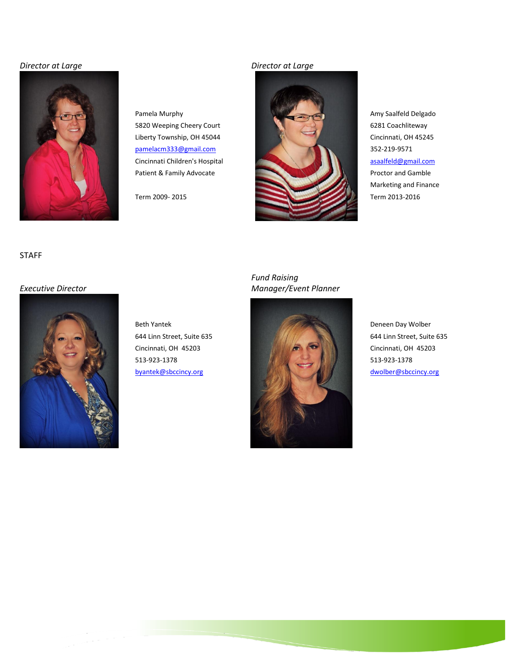### *Director at Large Director at Large*





Marketing and Finance

### STAFF

*Executive Director*



## *Fund Raising Manager/Event Planner*

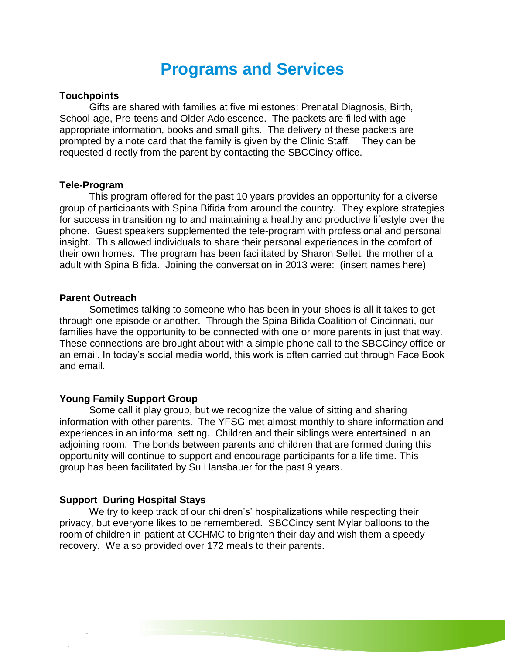## **Programs and Services**

## **Touchpoints**

Gifts are shared with families at five milestones: Prenatal Diagnosis, Birth, School-age, Pre-teens and Older Adolescence. The packets are filled with age appropriate information, books and small gifts. The delivery of these packets are prompted by a note card that the family is given by the Clinic Staff. They can be requested directly from the parent by contacting the SBCCincy office.

### **Tele-Program**

This program offered for the past 10 years provides an opportunity for a diverse group of participants with Spina Bifida from around the country. They explore strategies for success in transitioning to and maintaining a healthy and productive lifestyle over the phone. Guest speakers supplemented the tele-program with professional and personal insight. This allowed individuals to share their personal experiences in the comfort of their own homes. The program has been facilitated by Sharon Sellet, the mother of a adult with Spina Bifida. Joining the conversation in 2013 were: (insert names here)

### **Parent Outreach**

Sometimes talking to someone who has been in your shoes is all it takes to get through one episode or another. Through the Spina Bifida Coalition of Cincinnati, our families have the opportunity to be connected with one or more parents in just that way. These connections are brought about with a simple phone call to the SBCCincy office or an email. In today's social media world, this work is often carried out through Face Book and email.

## **Young Family Support Group**

Some call it play group, but we recognize the value of sitting and sharing information with other parents. The YFSG met almost monthly to share information and experiences in an informal setting. Children and their siblings were entertained in an adjoining room. The bonds between parents and children that are formed during this opportunity will continue to support and encourage participants for a life time. This group has been facilitated by Su Hansbauer for the past 9 years.

## **Support During Hospital Stays**

We try to keep track of our children's' hospitalizations while respecting their privacy, but everyone likes to be remembered. SBCCincy sent Mylar balloons to the room of children in-patient at CCHMC to brighten their day and wish them a speedy recovery. We also provided over 172 meals to their parents.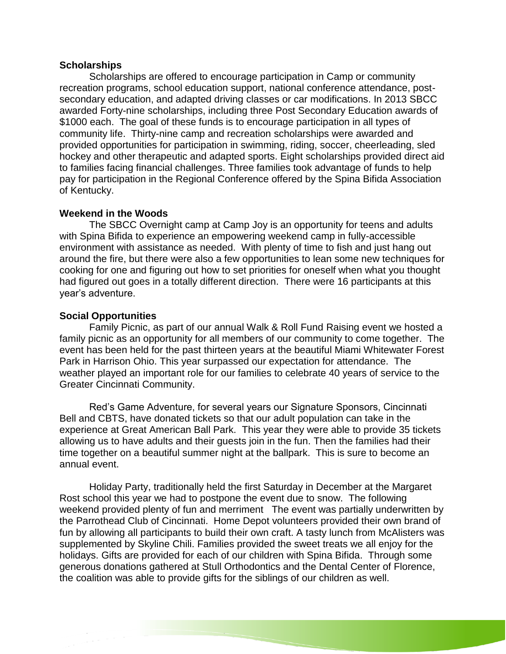## **Scholarships**

Scholarships are offered to encourage participation in Camp or community recreation programs, school education support, national conference attendance, postsecondary education, and adapted driving classes or car modifications. In 2013 SBCC awarded Forty-nine scholarships, including three Post Secondary Education awards of \$1000 each. The goal of these funds is to encourage participation in all types of community life. Thirty-nine camp and recreation scholarships were awarded and provided opportunities for participation in swimming, riding, soccer, cheerleading, sled hockey and other therapeutic and adapted sports. Eight scholarships provided direct aid to families facing financial challenges. Three families took advantage of funds to help pay for participation in the Regional Conference offered by the Spina Bifida Association of Kentucky.

## **Weekend in the Woods**

The SBCC Overnight camp at Camp Joy is an opportunity for teens and adults with Spina Bifida to experience an empowering weekend camp in fully-accessible environment with assistance as needed. With plenty of time to fish and just hang out around the fire, but there were also a few opportunities to lean some new techniques for cooking for one and figuring out how to set priorities for oneself when what you thought had figured out goes in a totally different direction. There were 16 participants at this year's adventure.

## **Social Opportunities**

Family Picnic, as part of our annual Walk & Roll Fund Raising event we hosted a family picnic as an opportunity for all members of our community to come together. The event has been held for the past thirteen years at the beautiful Miami Whitewater Forest Park in Harrison Ohio. This year surpassed our expectation for attendance. The weather played an important role for our families to celebrate 40 years of service to the Greater Cincinnati Community.

Red's Game Adventure, for several years our Signature Sponsors, Cincinnati Bell and CBTS, have donated tickets so that our adult population can take in the experience at Great American Ball Park. This year they were able to provide 35 tickets allowing us to have adults and their guests join in the fun. Then the families had their time together on a beautiful summer night at the ballpark. This is sure to become an annual event.

Holiday Party, traditionally held the first Saturday in December at the Margaret Rost school this year we had to postpone the event due to snow. The following weekend provided plenty of fun and merriment The event was partially underwritten by the Parrothead Club of Cincinnati. Home Depot volunteers provided their own brand of fun by allowing all participants to build their own craft. A tasty lunch from McAlisters was supplemented by Skyline Chili. Families provided the sweet treats we all enjoy for the holidays. Gifts are provided for each of our children with Spina Bifida. Through some generous donations gathered at Stull Orthodontics and the Dental Center of Florence, the coalition was able to provide gifts for the siblings of our children as well.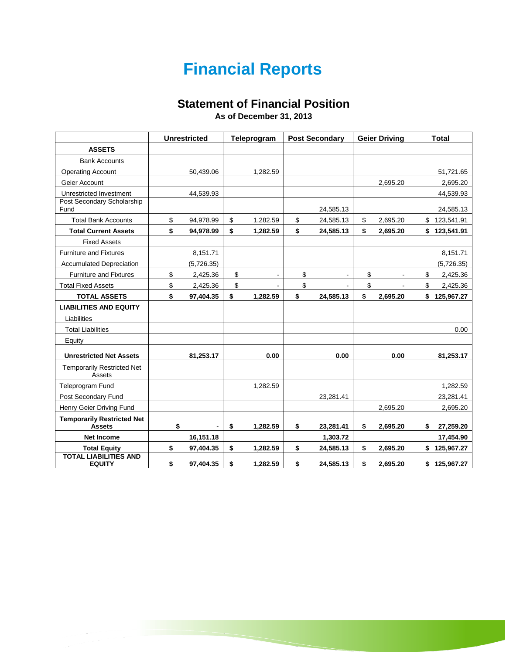## **Financial Reports**

## **Statement of Financial Position**

**As of December 31, 2013**

|                                                    | <b>Unrestricted</b>            | Teleprogram    | <b>Post Secondary</b> | <b>Geier Driving</b> | <b>Total</b>     |
|----------------------------------------------------|--------------------------------|----------------|-----------------------|----------------------|------------------|
| <b>ASSETS</b>                                      |                                |                |                       |                      |                  |
| <b>Bank Accounts</b>                               |                                |                |                       |                      |                  |
| <b>Operating Account</b>                           | 50,439.06                      | 1,282.59       |                       |                      | 51,721.65        |
| Geier Account                                      |                                |                |                       | 2,695.20             | 2,695.20         |
| Unrestricted Investment                            | 44,539.93                      |                |                       |                      | 44,539.93        |
| Post Secondary Scholarship<br>Fund                 |                                |                | 24,585.13             |                      | 24,585.13        |
| <b>Total Bank Accounts</b>                         | \$<br>94,978.99                | \$<br>1,282.59 | \$<br>24,585.13       | \$<br>2,695.20       | \$123,541.91     |
| <b>Total Current Assets</b>                        | \$<br>94,978.99                | \$<br>1,282.59 | \$<br>24,585.13       | \$<br>2,695.20       | \$<br>123,541.91 |
| <b>Fixed Assets</b>                                |                                |                |                       |                      |                  |
| <b>Furniture and Fixtures</b>                      | 8,151.71                       |                |                       |                      | 8,151.71         |
| <b>Accumulated Depreciation</b>                    | (5,726.35)                     |                |                       |                      | (5,726.35)       |
| <b>Furniture and Fixtures</b>                      | \$<br>2,425.36                 | \$             | \$<br>$\blacksquare$  | \$<br>$\blacksquare$ | \$<br>2,425.36   |
| <b>Total Fixed Assets</b>                          | \$<br>2,425.36                 | \$             | \$                    | \$                   | \$<br>2,425.36   |
| <b>TOTAL ASSETS</b>                                | \$<br>97,404.35                | \$<br>1,282.59 | \$<br>24,585.13       | \$<br>2,695.20       | \$125,967.27     |
| <b>LIABILITIES AND EQUITY</b>                      |                                |                |                       |                      |                  |
| Liabilities                                        |                                |                |                       |                      |                  |
| <b>Total Liabilities</b>                           |                                |                |                       |                      | 0.00             |
| Equity                                             |                                |                |                       |                      |                  |
| <b>Unrestricted Net Assets</b>                     | 81,253.17                      | 0.00           | 0.00                  | 0.00                 | 81,253.17        |
| <b>Temporarily Restricted Net</b><br>Assets        |                                |                |                       |                      |                  |
| <b>Teleprogram Fund</b>                            |                                | 1,282.59       |                       |                      | 1.282.59         |
| Post Secondary Fund                                |                                |                | 23,281.41             |                      | 23,281.41        |
| Henry Geier Driving Fund                           |                                |                |                       | 2,695.20             | 2,695.20         |
| <b>Temporarily Restricted Net</b><br><b>Assets</b> | \$<br>$\overline{\phantom{0}}$ | \$<br>1,282.59 | \$<br>23,281.41       | \$<br>2,695.20       | \$<br>27,259.20  |
| <b>Net Income</b>                                  | 16,151.18                      |                | 1,303.72              |                      | 17,454.90        |
| <b>Total Equity</b>                                | \$<br>97,404.35                | \$<br>1,282.59 | \$<br>24,585.13       | \$<br>2,695.20       | \$<br>125,967.27 |
| <b>TOTAL LIABILITIES AND</b><br><b>EQUITY</b>      | \$<br>97,404.35                | \$<br>1,282.59 | \$<br>24,585.13       | \$<br>2,695.20       | \$125,967.27     |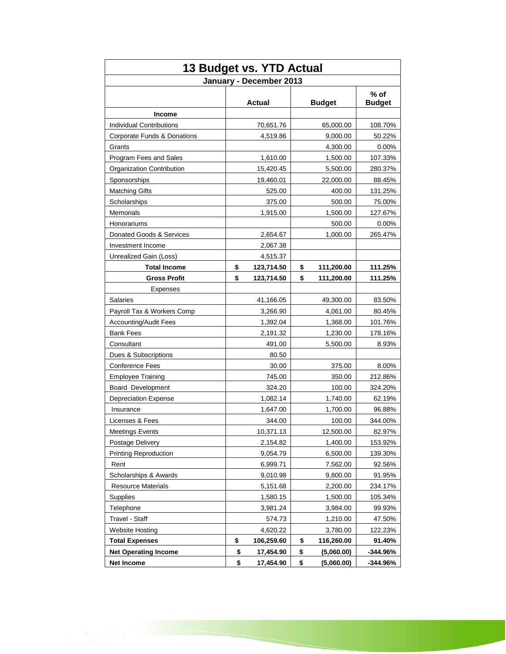| 13 Budget vs. YTD Actual        |    |               |    |               |                         |  |
|---------------------------------|----|---------------|----|---------------|-------------------------|--|
| January - December 2013         |    |               |    |               |                         |  |
|                                 |    | <b>Actual</b> |    | <b>Budget</b> | $%$ of<br><b>Budget</b> |  |
| <b>Income</b>                   |    |               |    |               |                         |  |
| <b>Individual Contributions</b> |    | 70,651.76     |    | 65,000.00     | 108.70%                 |  |
| Corporate Funds & Donations     |    | 4,519.86      |    | 9,000.00      | 50.22%                  |  |
| Grants                          |    |               |    | 4,300.00      | 0.00%                   |  |
| Program Fees and Sales          |    | 1,610.00      |    | 1,500.00      | 107.33%                 |  |
| Organization Contribution       |    | 15,420.45     |    | 5,500.00      | 280.37%                 |  |
| Sponsorships                    |    | 19,460.01     |    | 22,000.00     | 88.45%                  |  |
| <b>Matching Gifts</b>           |    | 525.00        |    | 400.00        | 131.25%                 |  |
| Scholarships                    |    | 375.00        |    | 500.00        | 75.00%                  |  |
| Memorials                       |    | 1,915.00      |    | 1,500.00      | 127.67%                 |  |
| Honorariums                     |    |               |    | 500.00        | 0.00%                   |  |
| Donated Goods & Services        |    | 2,654.67      |    | 1,000.00      | 265.47%                 |  |
| Investment Income               |    | 2,067.38      |    |               |                         |  |
| Unrealized Gain (Loss)          |    | 4,515.37      |    |               |                         |  |
| <b>Total Income</b>             | \$ | 123,714.50    | \$ | 111,200.00    | 111.25%                 |  |
| <b>Gross Profit</b>             | \$ | 123,714.50    | \$ | 111,200.00    | 111.25%                 |  |
| Expenses                        |    |               |    |               |                         |  |
| Salaries                        |    | 41,166.05     |    | 49,300.00     | 83.50%                  |  |
| Payroll Tax & Workers Comp      |    | 3,266.90      |    | 4,061.00      | 80.45%                  |  |
| <b>Accounting/Audit Fees</b>    |    | 1,392.04      |    | 1,368.00      | 101.76%                 |  |
| Bank Fees                       |    | 2,191.32      |    | 1,230.00      | 178.16%                 |  |
| Consultant                      |    | 491.00        |    | 5,500.00      | 8.93%                   |  |
| Dues & Subscriptions            |    | 80.50         |    |               |                         |  |
| Conference Fees                 |    | 30.00         |    | 375.00        | 8.00%                   |  |
| <b>Employee Training</b>        |    | 745.00        |    | 350.00        | 212.86%                 |  |
| Board Development               |    | 324.20        |    | 100.00        | 324.20%                 |  |
| <b>Depreciation Expense</b>     |    | 1,082.14      |    | 1,740.00      | 62.19%                  |  |
| Insurance                       |    | 1,647.00      |    | 1,700.00      | 96.88%                  |  |
| Licenses & Fees                 |    | 344.00        |    | 100.00        | 344.00%                 |  |
| Meetings Events                 |    | 10,371.13     |    | 12,500.00     | 82.97%                  |  |
| Postage Delivery                |    | 2,154.82      |    | 1,400.00      | 153.92%                 |  |
| <b>Printing Reproduction</b>    |    | 9,054.79      |    | 6,500.00      | 139.30%                 |  |
| Rent                            |    | 6,999.71      |    | 7,562.00      | 92.56%                  |  |
| Scholarships & Awards           |    | 9,010.98      |    | 9,800.00      | 91.95%                  |  |
| <b>Resource Materials</b>       |    | 5,151.68      |    | 2,200.00      | 234.17%                 |  |
| Supplies                        |    | 1,580.15      |    | 1,500.00      | 105.34%                 |  |
| Telephone                       |    | 3,981.24      |    | 3,984.00      | 99.93%                  |  |
| Travel - Staff                  |    | 574.73        |    | 1,210.00      | 47.50%                  |  |
| <b>Website Hosting</b>          |    | 4,620.22      |    | 3,780.00      | 122.23%                 |  |
| <b>Total Expenses</b>           | \$ | 106,259.60    | \$ | 116,260.00    | 91.40%                  |  |
| <b>Net Operating Income</b>     | \$ | 17,454.90     | \$ | (5,060.00)    | -344.96%                |  |
| Net Income                      | \$ | 17,454.90     | \$ | (5,060.00)    | -344.96%                |  |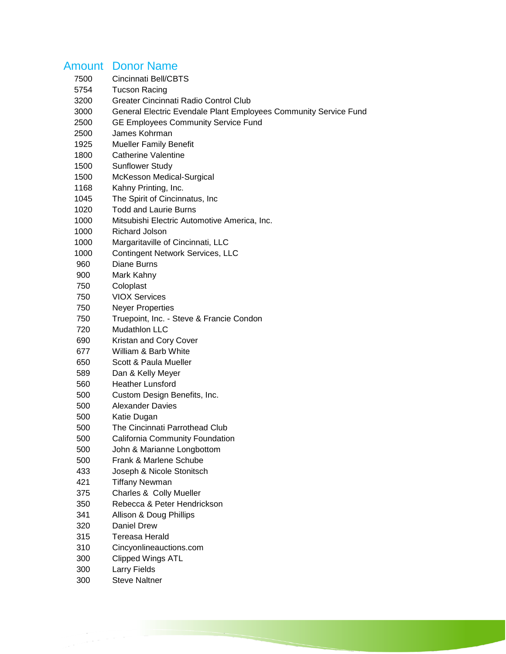## Amount Donor Name

- Cincinnati Bell/CBTS
- Tucson Racing
- Greater Cincinnati Radio Control Club
- General Electric Evendale Plant Employees Community Service Fund
- GE Employees Community Service Fund
- James Kohrman
- Mueller Family Benefit
- Catherine Valentine
- Sunflower Study
- McKesson Medical-Surgical
- 1168 Kahny Printing, Inc.
- The Spirit of Cincinnatus, Inc
- Todd and Laurie Burns
- Mitsubishi Electric Automotive America, Inc.
- Richard Jolson
- Margaritaville of Cincinnati, LLC
- Contingent Network Services, LLC
- Diane Burns
- Mark Kahny
- Coloplast
- VIOX Services
- Neyer Properties
- Truepoint, Inc. Steve & Francie Condon
- Mudathlon LLC
- Kristan and Cory Cover
- William & Barb White
- Scott & Paula Mueller
- Dan & Kelly Meyer
- Heather Lunsford
- Custom Design Benefits, Inc.
- Alexander Davies
- Katie Dugan
- The Cincinnati Parrothead Club
- California Community Foundation
- John & Marianne Longbottom
- Frank & Marlene Schube
- Joseph & Nicole Stonitsch
- Tiffany Newman
- Charles & Colly Mueller
- Rebecca & Peter Hendrickson
- Allison & Doug Phillips
- Daniel Drew
- Tereasa Herald
- Cincyonlineauctions.com
- Clipped Wings ATL
- Larry Fields
- Steve Naltner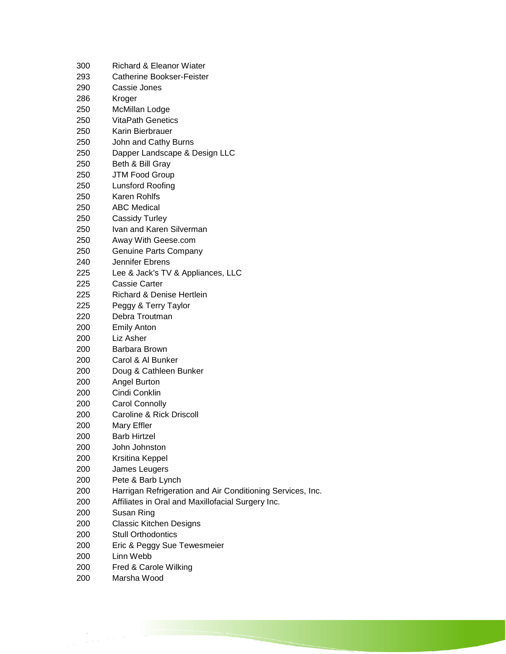| 300        | Richard & Eleanor Wiater                                   |
|------------|------------------------------------------------------------|
| 293        | <b>Catherine Bookser-Feister</b>                           |
| 290        | Cassie Jones                                               |
| 286        | Kroger                                                     |
| 250        | <b>McMillan Lodge</b>                                      |
| 250        | <b>VitaPath Genetics</b>                                   |
| 250        | Karin Bierbrauer                                           |
| 250        | John and Cathy Burns                                       |
| 250        | Dapper Landscape & Design LLC                              |
| 250        | Beth & Bill Gray                                           |
| 250        | <b>JTM Food Group</b>                                      |
| 250        | Lunsford Roofing                                           |
| 250        | Karen Rohlfs                                               |
| 250        | <b>ABC Medical</b>                                         |
| 250        | <b>Cassidy Turley</b>                                      |
| 250        | Ivan and Karen Silverman                                   |
| 250        | Away With Geese.com                                        |
| 250        | Genuine Parts Company                                      |
| 240        | Jennifer Ebrens                                            |
| 225        | Lee & Jack's TV & Appliances, LLC                          |
| 225        | Cassie Carter                                              |
| 225        | <b>Richard &amp; Denise Hertlein</b>                       |
| 225        | Peggy & Terry Taylor                                       |
| 220        | Debra Troutman                                             |
| 200        | <b>Emily Anton</b>                                         |
| 200        | Liz Asher                                                  |
| 200        | Barbara Brown                                              |
| 200        | Carol & Al Bunker                                          |
| 200        | Doug & Cathleen Bunker                                     |
| 200        | Angel Burton                                               |
| 200        | Cindi Conklin                                              |
| 200        | <b>Carol Connolly</b>                                      |
|            | Caroline & Rick Driscoll                                   |
| 200        |                                                            |
| 200        | Mary Effler<br><b>Barb Hirtzel</b>                         |
| 200<br>200 | John Johnston                                              |
|            |                                                            |
| 200        | Krsitina Keppel                                            |
| 200        | James Leugers                                              |
| 200        | Pete & Barb Lynch                                          |
| 200        | Harrigan Refrigeration and Air Conditioning Services, Inc. |
| 200        | Affiliates in Oral and Maxillofacial Surgery Inc.          |
| 200        | Susan Ring                                                 |
| 200        | <b>Classic Kitchen Designs</b>                             |
| 200        | <b>Stull Orthodontics</b>                                  |
| 200        | Eric & Peggy Sue Tewesmeier                                |
| 200        | Linn Webb                                                  |
| 200        | Fred & Carole Wilking                                      |
| 200        | Marsha Wood                                                |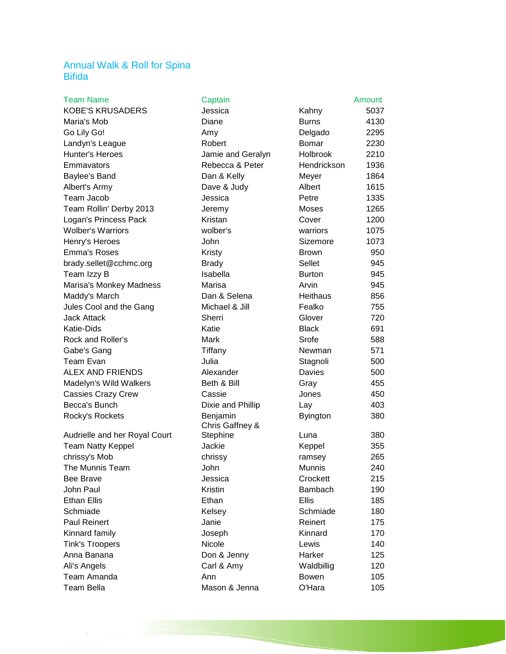## Annual Walk & Roll for Spina Bifida

| <b>Tealii Indille</b>         | <b>Uapiali</b>              |                 | Allivuit |
|-------------------------------|-----------------------------|-----------------|----------|
| <b>KOBE'S KRUSADERS</b>       | Jessica                     | Kahny           | 5037     |
| Maria's Mob                   | Diane                       | <b>Burns</b>    | 4130     |
| Go Lily Go!                   | Amy                         | Delgado         | 2295     |
| Landyn's League               | Robert                      | <b>Bomar</b>    | 2230     |
| Hunter's Heroes               | Jamie and Geralyn           | <b>Holbrook</b> | 2210     |
| Emmavators                    | Rebecca & Peter             | Hendrickson     | 1936     |
| Baylee's Band                 | Dan & Kelly                 | Meyer           | 1864     |
| Albert's Army                 | Dave & Judy                 | Albert          | 1615     |
| Team Jacob                    | Jessica                     | Petre           | 1335     |
| Team Rollin' Derby 2013       | Jeremy                      | Moses           | 1265     |
| Logan's Princess Pack         | Kristan                     | Cover           | 1200     |
| <b>Wolber's Warriors</b>      | wolber's                    | warriors        | 1075     |
| Henry's Heroes                | John                        | Sizemore        | 1073     |
| Emma's Roses                  | Kristy                      | <b>Brown</b>    | 950      |
| brady.sellet@cchmc.org        | <b>Brady</b>                | Sellet          | 945      |
| Team Izzy B                   | Isabella                    | <b>Burton</b>   | 945      |
| Marisa's Monkey Madness       | Marisa                      | Arvin           | 945      |
| Maddy's March                 | Dan & Selena                | <b>Heithaus</b> | 856      |
| Jules Cool and the Gang       | Michael & Jill              | Fealko          | 755      |
| Jack Attack                   | Sherri                      | Glover          | 720      |
| Katie-Dids                    | Katie                       | <b>Black</b>    | 691      |
| Rock and Roller's             | Mark                        | Srofe           | 588      |
| Gabe's Gang                   | Tiffany                     | Newman          | 571      |
| Team Evan                     | Julia                       | Stagnoli        | 500      |
| <b>ALEX AND FRIENDS</b>       | Alexander                   | Davies          | 500      |
| Madelyn's Wild Walkers        | Beth & Bill                 | Gray            | 455      |
| <b>Cassies Crazy Crew</b>     | Cassie                      | Jones           | 450      |
| Becca's Bunch                 | Dixie and Phillip           | Lay             | 403      |
| Rocky's Rockets               | Benjamin<br>Chris Gaffney & | <b>Byington</b> | 380      |
| Audrielle and her Royal Court | Stephine                    | Luna            | 380      |
| Team Natty Keppel             | Jackie                      | Keppel          | 355      |
| chrissy's Mob                 | chrissy                     | ramsey          | 265      |
| The Munnis Team               | John                        | Munnis          | 240      |
| Bee Brave                     | Jessica                     | Crockett        | 215      |
| John Paul                     | Kristin                     | Bambach         | 190      |
| Ethan Ellis                   | Ethan                       | Ellis           | 185      |
| Schmiade                      | Kelsey                      | Schmiade        | 180      |
| <b>Paul Reinert</b>           | Janie                       | Reinert         | 175      |
| Kinnard family                | Joseph                      | Kinnard         | 170      |
| <b>Tink's Troopers</b>        | Nicole                      | Lewis           | 140      |
| Anna Banana                   | Don & Jenny                 | Harker          | 125      |
| Ali's Angels                  | Carl & Amy                  | Waldbillig      | 120      |
| Team Amanda                   | Ann                         | <b>Bowen</b>    | 105      |
| Team Bella                    | Mason & Jenna               | O'Hara          | 105      |